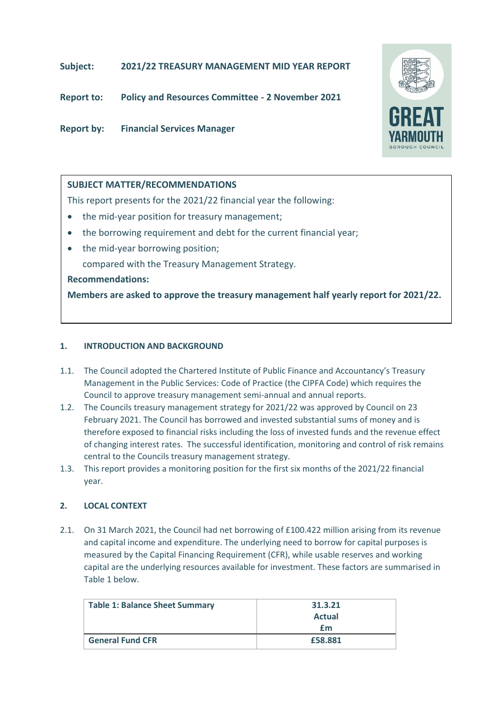# **Subject: 2021/22 TREASURY MANAGEMENT MID YEAR REPORT**

**Report to: Policy and Resources Committee - 2 November 2021**

**Report by: Financial Services Manager**



# **SUBJECT MATTER/RECOMMENDATIONS**

This report presents for the 2021/22 financial year the following:

- the mid-year position for treasury management;
- the borrowing requirement and debt for the current financial year;
- the mid-year borrowing position; compared with the Treasury Management Strategy.

## **Recommendations:**

**Members are asked to approve the treasury management half yearly report for 2021/22.**

## **1. INTRODUCTION AND BACKGROUND**

- 1.1. The Council adopted the Chartered Institute of Public Finance and Accountancy's Treasury Management in the Public Services: Code of Practice (the CIPFA Code) which requires the Council to approve treasury management semi-annual and annual reports.
- 1.2. The Councils treasury management strategy for 2021/22 was approved by Council on 23 February 2021. The Council has borrowed and invested substantial sums of money and is therefore exposed to financial risks including the loss of invested funds and the revenue effect of changing interest rates. The successful identification, monitoring and control of risk remains central to the Councils treasury management strategy.
- 1.3. This report provides a monitoring position for the first six months of the 2021/22 financial year.

# **2. LOCAL CONTEXT**

2.1. On 31 March 2021, the Council had net borrowing of £100.422 million arising from its revenue and capital income and expenditure. The underlying need to borrow for capital purposes is measured by the Capital Financing Requirement (CFR), while usable reserves and working capital are the underlying resources available for investment. These factors are summarised in Table 1 below.

| <b>Table 1: Balance Sheet Summary</b> | 31.3.21       |
|---------------------------------------|---------------|
|                                       | <b>Actual</b> |
|                                       | £m            |
| <b>General Fund CFR</b>               | £58,881       |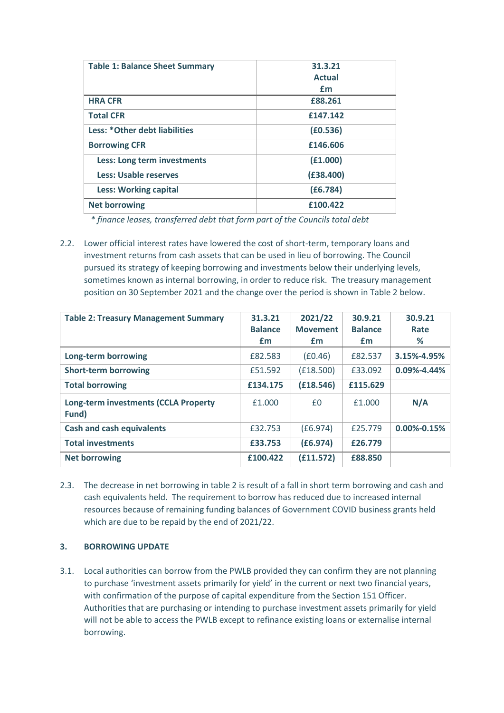| <b>Table 1: Balance Sheet Summary</b> | 31.3.21       |
|---------------------------------------|---------------|
|                                       | <b>Actual</b> |
|                                       | £m            |
| <b>HRA CFR</b>                        | £88,261       |
| <b>Total CFR</b>                      | £147.142      |
| Less: *Other debt liabilities         | (E0.536)      |
| <b>Borrowing CFR</b>                  | £146,606      |
| Less: Long term investments           | (E1.000)      |
| Less: Usable reserves                 | (E38.400)     |
| <b>Less: Working capital</b>          | (E6.784)      |
| <b>Net borrowing</b>                  | £100.422      |

*\* finance leases, transferred debt that form part of the Councils total debt*

2.2. Lower official interest rates have lowered the cost of short-term, temporary loans and investment returns from cash assets that can be used in lieu of borrowing. The Council pursued its strategy of keeping borrowing and investments below their underlying levels, sometimes known as internal borrowing, in order to reduce risk. The treasury management position on 30 September 2021 and the change over the period is shown in Table 2 below.

| <b>Table 2: Treasury Management Summary</b>          | 31.3.21<br><b>Balance</b><br>£m | 2021/22<br><b>Movement</b><br>£m | 30.9.21<br><b>Balance</b><br>£m | 30.9.21<br>Rate<br>% |
|------------------------------------------------------|---------------------------------|----------------------------------|---------------------------------|----------------------|
| Long-term borrowing                                  | £82.583                         | (E0.46)                          | £82.537                         | 3.15%-4.95%          |
| <b>Short-term borrowing</b>                          | £51.592                         | (E18.500)                        | £33.092                         | 0.09%-4.44%          |
| <b>Total borrowing</b>                               | £134.175                        | (E18.546)                        | £115,629                        |                      |
| <b>Long-term investments (CCLA Property</b><br>Fund) | £1.000                          | £0                               | £1,000                          | N/A                  |
| <b>Cash and cash equivalents</b>                     | £32.753                         | (E6.974)                         | £25.779                         | $0.00\% - 0.15\%$    |
| <b>Total investments</b>                             | £33,753                         | (E6.974)                         | £26.779                         |                      |
| <b>Net borrowing</b>                                 | £100.422                        | (E11.572)                        | £88,850                         |                      |

2.3. The decrease in net borrowing in table 2 is result of a fall in short term borrowing and cash and cash equivalents held. The requirement to borrow has reduced due to increased internal resources because of remaining funding balances of Government COVID business grants held which are due to be repaid by the end of 2021/22.

# **3. BORROWING UPDATE**

3.1. Local authorities can borrow from the PWLB provided they can confirm they are not planning to purchase 'investment assets primarily for yield' in the current or next two financial years, with confirmation of the purpose of capital expenditure from the Section 151 Officer. Authorities that are purchasing or intending to purchase investment assets primarily for yield will not be able to access the PWLB except to refinance existing loans or externalise internal borrowing.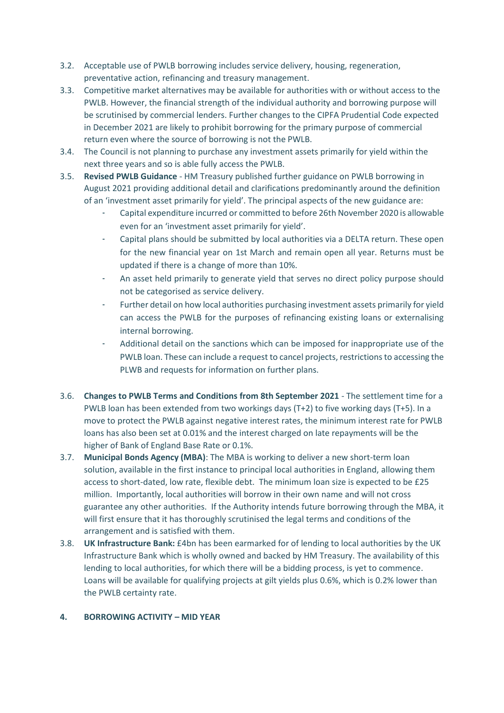- 3.2. Acceptable use of PWLB borrowing includes service delivery, housing, regeneration, preventative action, refinancing and treasury management.
- 3.3. Competitive market alternatives may be available for authorities with or without access to the PWLB. However, the financial strength of the individual authority and borrowing purpose will be scrutinised by commercial lenders. Further changes to the CIPFA Prudential Code expected in December 2021 are likely to prohibit borrowing for the primary purpose of commercial return even where the source of borrowing is not the PWLB.
- 3.4. The Council is not planning to purchase any investment assets primarily for yield within the next three years and so is able fully access the PWLB.
- 3.5. **Revised PWLB Guidance** HM Treasury published further guidance on PWLB borrowing in August 2021 providing additional detail and clarifications predominantly around the definition of an 'investment asset primarily for yield'. The principal aspects of the new guidance are:
	- Capital expenditure incurred or committed to before 26th November 2020 is allowable even for an 'investment asset primarily for yield'.
	- Capital plans should be submitted by local authorities via a DELTA return. These open for the new financial year on 1st March and remain open all year. Returns must be updated if there is a change of more than 10%.
	- An asset held primarily to generate yield that serves no direct policy purpose should not be categorised as service delivery.
	- Further detail on how local authorities purchasing investment assets primarily for yield can access the PWLB for the purposes of refinancing existing loans or externalising internal borrowing.
	- Additional detail on the sanctions which can be imposed for inappropriate use of the PWLB loan. These can include a request to cancel projects, restrictions to accessing the PLWB and requests for information on further plans.
- 3.6. **Changes to PWLB Terms and Conditions from 8th September 2021** The settlement time for a PWLB loan has been extended from two workings days (T+2) to five working days (T+5). In a move to protect the PWLB against negative interest rates, the minimum interest rate for PWLB loans has also been set at 0.01% and the interest charged on late repayments will be the higher of Bank of England Base Rate or 0.1%.
- 3.7. **Municipal Bonds Agency (MBA)**: The MBA is working to deliver a new short-term loan solution, available in the first instance to principal local authorities in England, allowing them access to short-dated, low rate, flexible debt. The minimum loan size is expected to be £25 million. Importantly, local authorities will borrow in their own name and will not cross guarantee any other authorities. If the Authority intends future borrowing through the MBA, it will first ensure that it has thoroughly scrutinised the legal terms and conditions of the arrangement and is satisfied with them.
- 3.8. **UK Infrastructure Bank:** £4bn has been earmarked for of lending to local authorities by the UK Infrastructure Bank which is wholly owned and backed by HM Treasury. The availability of this lending to local authorities, for which there will be a bidding process, is yet to commence. Loans will be available for qualifying projects at gilt yields plus 0.6%, which is 0.2% lower than the PWLB certainty rate.

#### **4. BORROWING ACTIVITY – MID YEAR**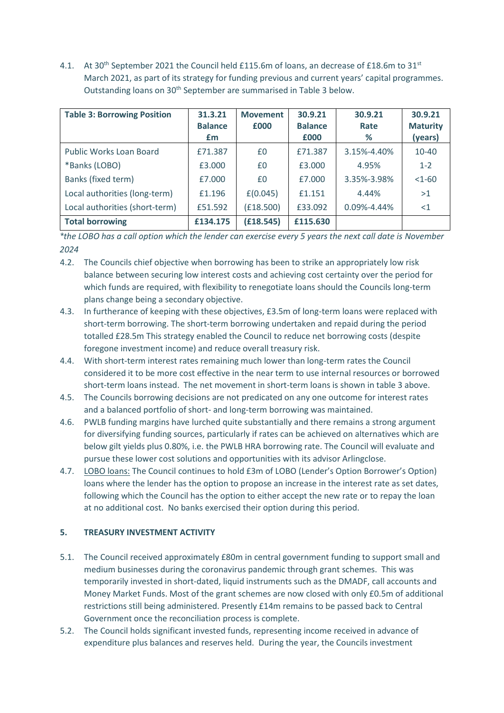4.1. At 30<sup>th</sup> September 2021 the Council held £115.6m of loans, an decrease of £18.6m to 31<sup>st</sup> March 2021, as part of its strategy for funding previous and current years' capital programmes. Outstanding loans on 30<sup>th</sup> September are summarised in Table 3 below.

| <b>Table 3: Borrowing Position</b> | 31.3.21        | <b>Movement</b> | 30.9.21        | 30.9.21           | 30.9.21         |
|------------------------------------|----------------|-----------------|----------------|-------------------|-----------------|
|                                    | <b>Balance</b> | £000            | <b>Balance</b> | Rate              | <b>Maturity</b> |
|                                    | £m             |                 | £000           | %                 | (years)         |
| Public Works Loan Board            | £71.387        | £0              | £71.387        | 3.15%-4.40%       | 10-40           |
| *Banks (LOBO)                      | £3.000         | £0              | £3.000         | 4.95%             | $1 - 2$         |
| Banks (fixed term)                 | £7.000         | £0              | £7.000         | 3.35%-3.98%       | $<1-60$         |
| Local authorities (long-term)      | £1.196         | E(0.045)        | £1.151         | 4.44%             | >1              |
| Local authorities (short-term)     | £51.592        | (f18.500)       | £33.092        | $0.09\% - 4.44\%$ | $<$ 1           |
| <b>Total borrowing</b>             | £134.175       | (E18.545)       | £115.630       |                   |                 |

*\*the LOBO has a call option which the lender can exercise every 5 years the next call date is November 2024*

- 4.2. The Councils chief objective when borrowing has been to strike an appropriately low risk balance between securing low interest costs and achieving cost certainty over the period for which funds are required, with flexibility to renegotiate loans should the Councils long-term plans change being a secondary objective.
- 4.3. In furtherance of keeping with these objectives, £3.5m of long-term loans were replaced with short-term borrowing. The short-term borrowing undertaken and repaid during the period totalled £28.5m This strategy enabled the Council to reduce net borrowing costs (despite foregone investment income) and reduce overall treasury risk.
- 4.4. With short-term interest rates remaining much lower than long-term rates the Council considered it to be more cost effective in the near term to use internal resources or borrowed short-term loans instead. The net movement in short-term loans is shown in table 3 above.
- 4.5. The Councils borrowing decisions are not predicated on any one outcome for interest rates and a balanced portfolio of short- and long-term borrowing was maintained.
- 4.6. PWLB funding margins have lurched quite substantially and there remains a strong argument for diversifying funding sources, particularly if rates can be achieved on alternatives which are below gilt yields plus 0.80%, i.e. the PWLB HRA borrowing rate. The Council will evaluate and pursue these lower cost solutions and opportunities with its advisor Arlingclose.
- 4.7. LOBO loans: The Council continues to hold £3m of LOBO (Lender's Option Borrower's Option) loans where the lender has the option to propose an increase in the interest rate as set dates, following which the Council has the option to either accept the new rate or to repay the loan at no additional cost. No banks exercised their option during this period.

# **5. TREASURY INVESTMENT ACTIVITY**

- 5.1. The Council received approximately £80m in central government funding to support small and medium businesses during the coronavirus pandemic through grant schemes. This was temporarily invested in short-dated, liquid instruments such as the DMADF, call accounts and Money Market Funds. Most of the grant schemes are now closed with only £0.5m of additional restrictions still being administered. Presently £14m remains to be passed back to Central Government once the reconciliation process is complete.
- 5.2. The Council holds significant invested funds, representing income received in advance of expenditure plus balances and reserves held. During the year, the Councils investment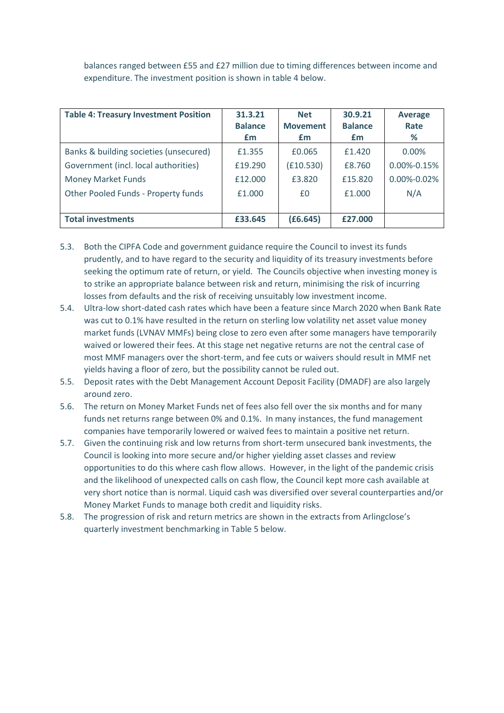balances ranged between £55 and £27 million due to timing differences between income and expenditure. The investment position is shown in table 4 below.

| <b>Table 4: Treasury Investment Position</b> | 31.3.21        | <b>Net</b>      | 30.9.21        | <b>Average</b>    |
|----------------------------------------------|----------------|-----------------|----------------|-------------------|
|                                              | <b>Balance</b> | <b>Movement</b> | <b>Balance</b> | Rate              |
|                                              | £m             | £m              | £m             | %                 |
| Banks & building societies (unsecured)       | £1.355         | £0.065          | £1.420         | $0.00\%$          |
| Government (incl. local authorities)         | £19.290        | (f10.530)       | £8.760         | $0.00\% - 0.15\%$ |
| <b>Money Market Funds</b>                    | £12.000        | £3.820          | £15.820        | 0.00%-0.02%       |
| Other Pooled Funds - Property funds          | £1.000         | £0              | £1,000         | N/A               |
|                                              |                |                 |                |                   |
| <b>Total investments</b>                     | £33.645        | (E6.645)        | £27,000        |                   |

- 5.3. Both the CIPFA Code and government guidance require the Council to invest its funds prudently, and to have regard to the security and liquidity of its treasury investments before seeking the optimum rate of return, or yield. The Councils objective when investing money is to strike an appropriate balance between risk and return, minimising the risk of incurring losses from defaults and the risk of receiving unsuitably low investment income.
- 5.4. Ultra-low short-dated cash rates which have been a feature since March 2020 when Bank Rate was cut to 0.1% have resulted in the return on sterling low volatility net asset value money market funds (LVNAV MMFs) being close to zero even after some managers have temporarily waived or lowered their fees. At this stage net negative returns are not the central case of most MMF managers over the short-term, and fee cuts or waivers should result in MMF net yields having a floor of zero, but the possibility cannot be ruled out.
- 5.5. Deposit rates with the Debt Management Account Deposit Facility (DMADF) are also largely around zero.
- 5.6. The return on Money Market Funds net of fees also fell over the six months and for many funds net returns range between 0% and 0.1%. In many instances, the fund management companies have temporarily lowered or waived fees to maintain a positive net return.
- 5.7. Given the continuing risk and low returns from short-term unsecured bank investments, the Council is looking into more secure and/or higher yielding asset classes and review opportunities to do this where cash flow allows. However, in the light of the pandemic crisis and the likelihood of unexpected calls on cash flow, the Council kept more cash available at very short notice than is normal. Liquid cash was diversified over several counterparties and/or Money Market Funds to manage both credit and liquidity risks.
- 5.8. The progression of risk and return metrics are shown in the extracts from Arlingclose's quarterly investment benchmarking in Table 5 below.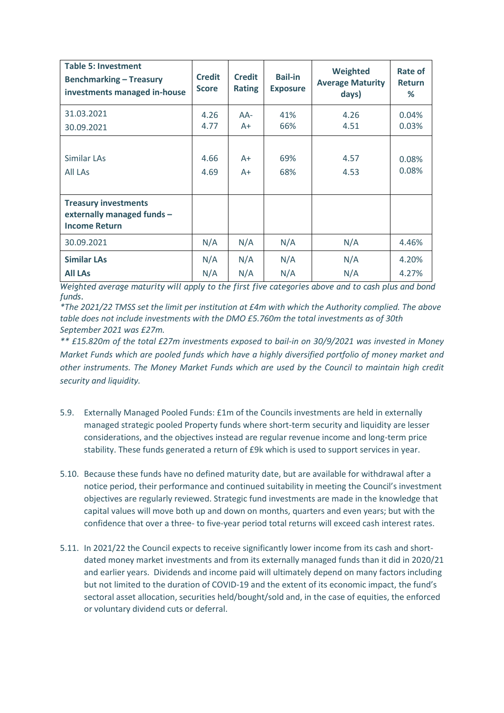| <b>Table 5: Investment</b><br><b>Benchmarking - Treasury</b><br>investments managed in-house | <b>Credit</b><br><b>Score</b> | <b>Credit</b><br><b>Rating</b> | <b>Bail-in</b><br><b>Exposure</b> | Weighted<br><b>Average Maturity</b><br>days) | Rate of<br><b>Return</b><br>% |
|----------------------------------------------------------------------------------------------|-------------------------------|--------------------------------|-----------------------------------|----------------------------------------------|-------------------------------|
| 31.03.2021                                                                                   | 4.26                          | $AA-$                          | 41%                               | 4.26                                         | 0.04%                         |
| 30.09.2021                                                                                   | 4.77                          | $A+$                           | 66%                               | 4.51                                         | 0.03%                         |
| Similar LAs                                                                                  | 4.66                          | $A+$                           | 69%                               | 4.57                                         | 0.08%                         |
| All LAs                                                                                      | 4.69                          | A+                             | 68%                               | 4.53                                         | 0.08%                         |
| <b>Treasury investments</b><br>externally managed funds -<br><b>Income Return</b>            |                               |                                |                                   |                                              |                               |
| 30.09.2021                                                                                   | N/A                           | N/A                            | N/A                               | N/A                                          | 4.46%                         |
| <b>Similar LAs</b>                                                                           | N/A                           | N/A                            | N/A                               | N/A                                          | 4.20%                         |
| <b>All LAs</b>                                                                               | N/A                           | N/A                            | N/A                               | N/A                                          | 4.27%                         |

*Weighted average maturity will apply to the first five categories above and to cash plus and bond funds*.

*\*The 2021/22 TMSS set the limit per institution at £4m with which the Authority complied. The above table does not include investments with the DMO £5.760m the total investments as of 30th September 2021 was £27m.* 

*\*\* £15.820m of the total £27m investments exposed to bail-in on 30/9/2021 was invested in Money Market Funds which are pooled funds which have a highly diversified portfolio of money market and other instruments. The Money Market Funds which are used by the Council to maintain high credit security and liquidity.*

- 5.9. Externally Managed Pooled Funds: £1m of the Councils investments are held in externally managed strategic pooled Property funds where short-term security and liquidity are lesser considerations, and the objectives instead are regular revenue income and long-term price stability. These funds generated a return of £9k which is used to support services in year.
- 5.10. Because these funds have no defined maturity date, but are available for withdrawal after a notice period, their performance and continued suitability in meeting the Council's investment objectives are regularly reviewed. Strategic fund investments are made in the knowledge that capital values will move both up and down on months, quarters and even years; but with the confidence that over a three- to five-year period total returns will exceed cash interest rates.
- 5.11. In 2021/22 the Council expects to receive significantly lower income from its cash and shortdated money market investments and from its externally managed funds than it did in 2020/21 and earlier years. Dividends and income paid will ultimately depend on many factors including but not limited to the duration of COVID-19 and the extent of its economic impact, the fund's sectoral asset allocation, securities held/bought/sold and, in the case of equities, the enforced or voluntary dividend cuts or deferral.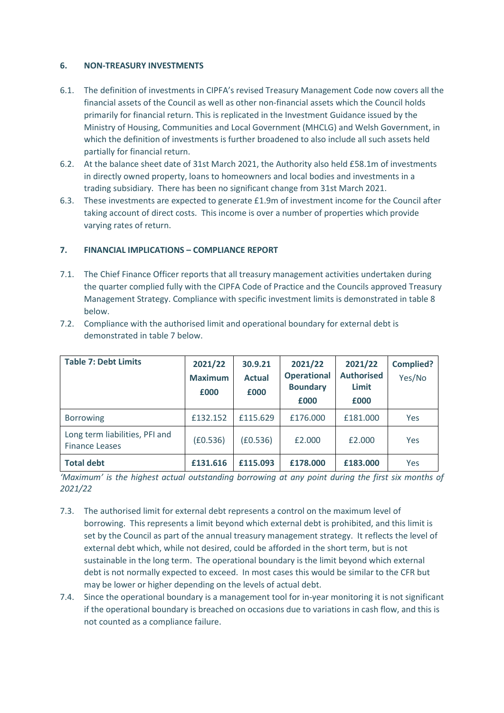## **6. NON-TREASURY INVESTMENTS**

- 6.1. The definition of investments in CIPFA's revised Treasury Management Code now covers all the financial assets of the Council as well as other non-financial assets which the Council holds primarily for financial return. This is replicated in the Investment Guidance issued by the Ministry of Housing, Communities and Local Government (MHCLG) and Welsh Government, in which the definition of investments is further broadened to also include all such assets held partially for financial return.
- 6.2. At the balance sheet date of 31st March 2021, the Authority also held £58.1m of investments in directly owned property, loans to homeowners and local bodies and investments in a trading subsidiary. There has been no significant change from 31st March 2021.
- 6.3. These investments are expected to generate £1.9m of investment income for the Council after taking account of direct costs. This income is over a number of properties which provide varying rates of return.

# **7. FINANCIAL IMPLICATIONS – COMPLIANCE REPORT**

7.1. The Chief Finance Officer reports that all treasury management activities undertaken during the quarter complied fully with the CIPFA Code of Practice and the Councils approved Treasury Management Strategy. Compliance with specific investment limits is demonstrated in table 8 below.

| <b>Table 7: Debt Limits</b>                             | 2021/22<br><b>Maximum</b><br>£000 | 30.9.21<br><b>Actual</b><br>£000 | 2021/22<br><b>Operational</b><br><b>Boundary</b><br>£000 | 2021/22<br><b>Authorised</b><br>Limit<br>£000 | <b>Complied?</b><br>Yes/No |
|---------------------------------------------------------|-----------------------------------|----------------------------------|----------------------------------------------------------|-----------------------------------------------|----------------------------|
| <b>Borrowing</b>                                        | £132.152                          | £115.629                         | £176,000                                                 | £181,000                                      | Yes                        |
| Long term liabilities, PFI and<br><b>Finance Leases</b> | (E0.536)                          | (E0.536)                         | £2.000                                                   | £2.000                                        | Yes                        |
| <b>Total debt</b>                                       | £131.616                          | £115,093                         | £178.000                                                 | £183.000                                      | Yes                        |

7.2. Compliance with the authorised limit and operational boundary for external debt is demonstrated in table 7 below.

*'Maximum' is the highest actual outstanding borrowing at any point during the first six months of 2021/22*

- 7.3. The authorised limit for external debt represents a control on the maximum level of borrowing. This represents a limit beyond which external debt is prohibited, and this limit is set by the Council as part of the annual treasury management strategy. It reflects the level of external debt which, while not desired, could be afforded in the short term, but is not sustainable in the long term. The operational boundary is the limit beyond which external debt is not normally expected to exceed. In most cases this would be similar to the CFR but may be lower or higher depending on the levels of actual debt.
- 7.4. Since the operational boundary is a management tool for in-year monitoring it is not significant if the operational boundary is breached on occasions due to variations in cash flow, and this is not counted as a compliance failure.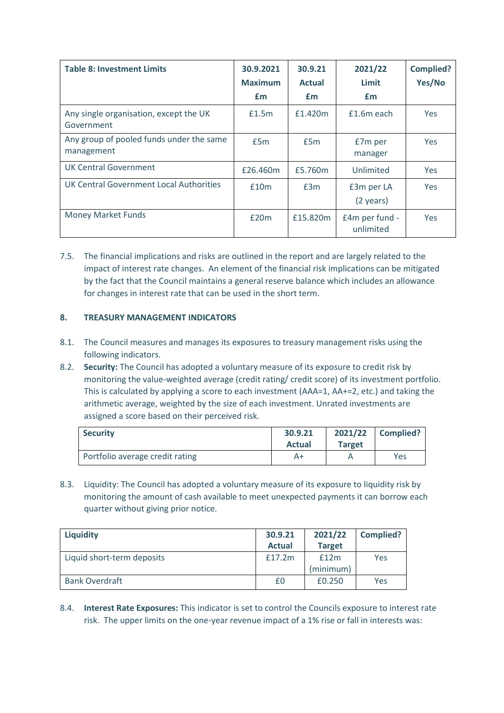| <b>Table 8: Investment Limits</b>                      | 30.9.2021<br><b>Maximum</b><br>£m | 30.9.21<br><b>Actual</b><br>£m | 2021/22<br>Limit<br>£m      | <b>Complied?</b><br>Yes/No |
|--------------------------------------------------------|-----------------------------------|--------------------------------|-----------------------------|----------------------------|
| Any single organisation, except the UK<br>Government   | £1.5m                             | £1.420m                        | £1.6m each                  | Yes                        |
| Any group of pooled funds under the same<br>management | £5m                               | £5m                            | £7m per<br>manager          | <b>Yes</b>                 |
| <b>UK Central Government</b>                           | £26.460m                          | £5.760m                        | Unlimited                   | <b>Yes</b>                 |
| UK Central Government Local Authorities                | £10m                              | £3m                            | £3m per LA<br>(2 years)     | <b>Yes</b>                 |
| <b>Money Market Funds</b>                              | £20m                              | £15.820m                       | £4m per fund -<br>unlimited | <b>Yes</b>                 |

7.5. The financial implications and risks are outlined in the report and are largely related to the impact of interest rate changes. An element of the financial risk implications can be mitigated by the fact that the Council maintains a general reserve balance which includes an allowance for changes in interest rate that can be used in the short term.

## **8. TREASURY MANAGEMENT INDICATORS**

- 8.1. The Council measures and manages its exposures to treasury management risks using the following indicators.
- 8.2. **Security:** The Council has adopted a voluntary measure of its exposure to credit risk by monitoring the value-weighted average (credit rating/ credit score) of its investment portfolio. This is calculated by applying a score to each investment (AAA=1, AA+=2, etc.) and taking the arithmetic average, weighted by the size of each investment. Unrated investments are assigned a score based on their perceived risk.

| <b>Security</b>                 | 30.9.21<br><b>Actual</b> | <b>Target</b> | $2021/22$ Complied? |
|---------------------------------|--------------------------|---------------|---------------------|
| Portfolio average credit rating | A+                       |               | Yes                 |

8.3. Liquidity: The Council has adopted a voluntary measure of its exposure to liquidity risk by monitoring the amount of cash available to meet unexpected payments it can borrow each quarter without giving prior notice.

| <b>Liquidity</b>           | 30.9.21       | 2021/22       | <b>Complied?</b> |
|----------------------------|---------------|---------------|------------------|
|                            | <b>Actual</b> | <b>Target</b> |                  |
| Liquid short-term deposits | £17.2m        | £12m          | Yes              |
|                            |               | (minimum)     |                  |
| <b>Bank Overdraft</b>      | £0            | £0.250        | Yes              |

8.4. **Interest Rate Exposures:** This indicator is set to control the Councils exposure to interest rate risk. The upper limits on the one-year revenue impact of a 1% rise or fall in interests was: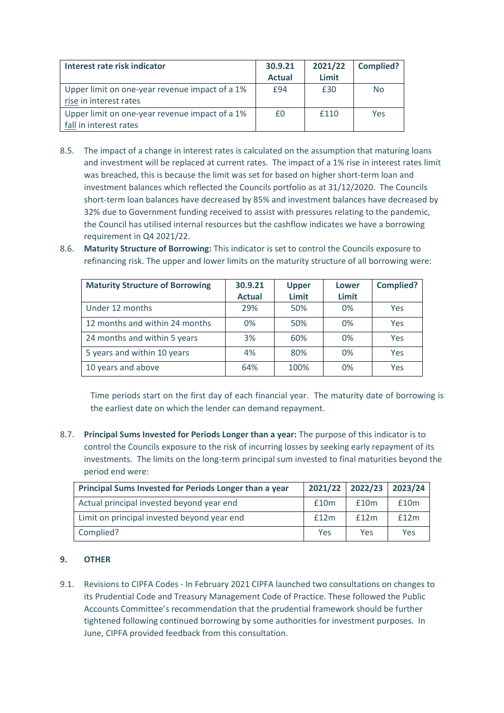| Interest rate risk indicator                   | 30.9.21       | 2021/22 | <b>Complied?</b> |
|------------------------------------------------|---------------|---------|------------------|
|                                                | <b>Actual</b> | Limit   |                  |
| Upper limit on one-year revenue impact of a 1% | £94           | £30     | No               |
| rise in interest rates                         |               |         |                  |
| Upper limit on one-year revenue impact of a 1% | £0            | £110    | Yes              |
| fall in interest rates                         |               |         |                  |

- 8.5. The impact of a change in interest rates is calculated on the assumption that maturing loans and investment will be replaced at current rates. The impact of a 1% rise in interest rates limit was breached, this is because the limit was set for based on higher short-term loan and investment balances which reflected the Councils portfolio as at 31/12/2020. The Councils short-term loan balances have decreased by 85% and investment balances have decreased by 32% due to Government funding received to assist with pressures relating to the pandemic, the Council has utilised internal resources but the cashflow indicates we have a borrowing requirement in Q4 2021/22.
- 8.6. **Maturity Structure of Borrowing:** This indicator is set to control the Councils exposure to refinancing risk. The upper and lower limits on the maturity structure of all borrowing were:

| <b>Maturity Structure of Borrowing</b> | 30.9.21<br><b>Actual</b> | <b>Upper</b><br>Limit | Lower<br>Limit | <b>Complied?</b> |
|----------------------------------------|--------------------------|-----------------------|----------------|------------------|
| Under 12 months                        | 29%                      | 50%                   | 0%             | Yes              |
| 12 months and within 24 months         | 0%                       | 50%                   | 0%             | Yes              |
| 24 months and within 5 years           | 3%                       | 60%                   | 0%             | Yes              |
| 5 years and within 10 years            | 4%                       | 80%                   | 0%             | Yes              |
| 10 years and above                     | 64%                      | 100%                  | 0%             | Yes              |

Time periods start on the first day of each financial year. The maturity date of borrowing is the earliest date on which the lender can demand repayment.

8.7. **Principal Sums Invested for Periods Longer than a year:** The purpose of this indicator is to control the Councils exposure to the risk of incurring losses by seeking early repayment of its investments. The limits on the long-term principal sum invested to final maturities beyond the period end were:

| Principal Sums Invested for Periods Longer than a year |      | 2021/22 2022/23 | 2023/24 |
|--------------------------------------------------------|------|-----------------|---------|
| Actual principal invested beyond year end              | £10m | f10m            | f10m    |
| Limit on principal invested beyond year end            | £12m | f12m            | f12m    |
| Complied?                                              | Yes  | Yes             | Yes     |

# **9. OTHER**

9.1. Revisions to CIPFA Codes - In February 2021 CIPFA launched two consultations on changes to its Prudential Code and Treasury Management Code of Practice. These followed the Public Accounts Committee's recommendation that the prudential framework should be further tightened following continued borrowing by some authorities for investment purposes. In June, CIPFA provided feedback from this consultation.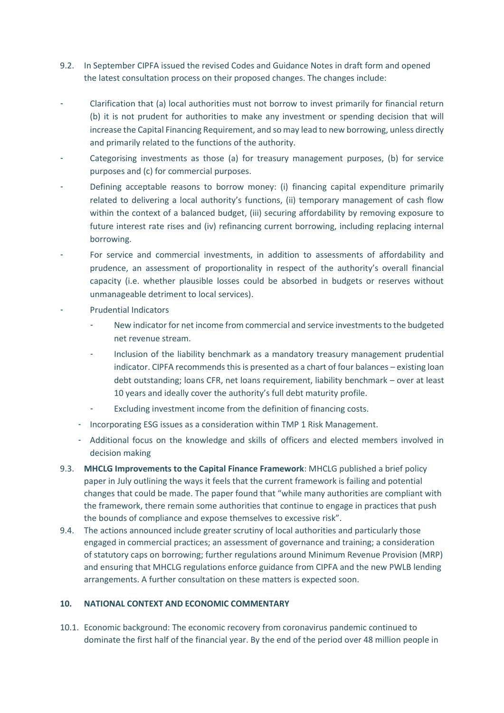- 9.2. In September CIPFA issued the revised Codes and Guidance Notes in draft form and opened the latest consultation process on their proposed changes. The changes include:
- Clarification that (a) local authorities must not borrow to invest primarily for financial return (b) it is not prudent for authorities to make any investment or spending decision that will increase the Capital Financing Requirement, and so may lead to new borrowing, unless directly and primarily related to the functions of the authority.
- Categorising investments as those (a) for treasury management purposes, (b) for service purposes and (c) for commercial purposes.
- Defining acceptable reasons to borrow money: (i) financing capital expenditure primarily related to delivering a local authority's functions, (ii) temporary management of cash flow within the context of a balanced budget, (iii) securing affordability by removing exposure to future interest rate rises and (iv) refinancing current borrowing, including replacing internal borrowing.
- For service and commercial investments, in addition to assessments of affordability and prudence, an assessment of proportionality in respect of the authority's overall financial capacity (i.e. whether plausible losses could be absorbed in budgets or reserves without unmanageable detriment to local services).
- Prudential Indicators
	- New indicator for net income from commercial and service investments to the budgeted net revenue stream.
	- Inclusion of the liability benchmark as a mandatory treasury management prudential indicator. CIPFA recommends this is presented as a chart of four balances – existing loan debt outstanding; loans CFR, net loans requirement, liability benchmark – over at least 10 years and ideally cover the authority's full debt maturity profile.
	- Excluding investment income from the definition of financing costs.
	- Incorporating ESG issues as a consideration within TMP 1 Risk Management.
	- Additional focus on the knowledge and skills of officers and elected members involved in decision making
- 9.3. **MHCLG Improvements to the Capital Finance Framework**: MHCLG published a brief policy paper in July outlining the ways it feels that the current framework is failing and potential changes that could be made. The paper found that "while many authorities are compliant with the framework, there remain some authorities that continue to engage in practices that push the bounds of compliance and expose themselves to excessive risk".
- 9.4. The actions announced include greater scrutiny of local authorities and particularly those engaged in commercial practices; an assessment of governance and training; a consideration of statutory caps on borrowing; further regulations around Minimum Revenue Provision (MRP) and ensuring that MHCLG regulations enforce guidance from CIPFA and the new PWLB lending arrangements. A further consultation on these matters is expected soon.

# **10. NATIONAL CONTEXT AND ECONOMIC COMMENTARY**

10.1. Economic background: The economic recovery from coronavirus pandemic continued to dominate the first half of the financial year. By the end of the period over 48 million people in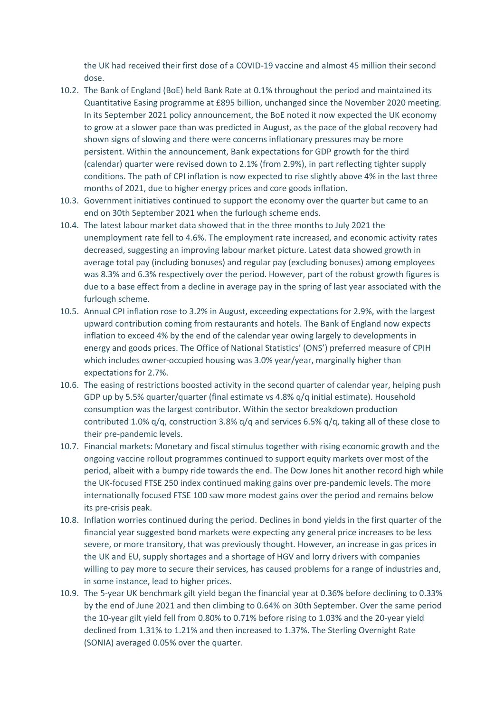the UK had received their first dose of a COVID-19 vaccine and almost 45 million their second dose.

- 10.2. The Bank of England (BoE) held Bank Rate at 0.1% throughout the period and maintained its Quantitative Easing programme at £895 billion, unchanged since the November 2020 meeting. In its September 2021 policy announcement, the BoE noted it now expected the UK economy to grow at a slower pace than was predicted in August, as the pace of the global recovery had shown signs of slowing and there were concerns inflationary pressures may be more persistent. Within the announcement, Bank expectations for GDP growth for the third (calendar) quarter were revised down to 2.1% (from 2.9%), in part reflecting tighter supply conditions. The path of CPI inflation is now expected to rise slightly above 4% in the last three months of 2021, due to higher energy prices and core goods inflation.
- 10.3. Government initiatives continued to support the economy over the quarter but came to an end on 30th September 2021 when the furlough scheme ends.
- 10.4. The latest labour market data showed that in the three months to July 2021 the unemployment rate fell to 4.6%. The employment rate increased, and economic activity rates decreased, suggesting an improving labour market picture. Latest data showed growth in average total pay (including bonuses) and regular pay (excluding bonuses) among employees was 8.3% and 6.3% respectively over the period. However, part of the robust growth figures is due to a base effect from a decline in average pay in the spring of last year associated with the furlough scheme.
- 10.5. Annual CPI inflation rose to 3.2% in August, exceeding expectations for 2.9%, with the largest upward contribution coming from restaurants and hotels. The Bank of England now expects inflation to exceed 4% by the end of the calendar year owing largely to developments in energy and goods prices. The Office of National Statistics' (ONS') preferred measure of CPIH which includes owner-occupied housing was 3.0% year/year, marginally higher than expectations for 2.7%.
- 10.6. The easing of restrictions boosted activity in the second quarter of calendar year, helping push GDP up by 5.5% quarter/quarter (final estimate vs 4.8% q/q initial estimate). Household consumption was the largest contributor. Within the sector breakdown production contributed 1.0%  $q/q$ , construction 3.8%  $q/q$  and services 6.5%  $q/q$ , taking all of these close to their pre-pandemic levels.
- 10.7. Financial markets: Monetary and fiscal stimulus together with rising economic growth and the ongoing vaccine rollout programmes continued to support equity markets over most of the period, albeit with a bumpy ride towards the end. The Dow Jones hit another record high while the UK-focused FTSE 250 index continued making gains over pre-pandemic levels. The more internationally focused FTSE 100 saw more modest gains over the period and remains below its pre-crisis peak.
- 10.8. Inflation worries continued during the period. Declines in bond yields in the first quarter of the financial year suggested bond markets were expecting any general price increases to be less severe, or more transitory, that was previously thought. However, an increase in gas prices in the UK and EU, supply shortages and a shortage of HGV and lorry drivers with companies willing to pay more to secure their services, has caused problems for a range of industries and, in some instance, lead to higher prices.
- 10.9. The 5-year UK benchmark gilt yield began the financial year at 0.36% before declining to 0.33% by the end of June 2021 and then climbing to 0.64% on 30th September. Over the same period the 10-year gilt yield fell from 0.80% to 0.71% before rising to 1.03% and the 20-year yield declined from 1.31% to 1.21% and then increased to 1.37%. The Sterling Overnight Rate (SONIA) averaged 0.05% over the quarter.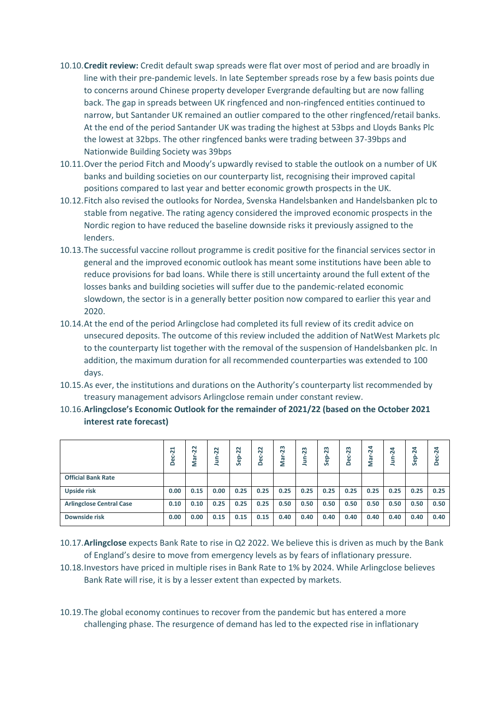- 10.10.**Credit review:** Credit default swap spreads were flat over most of period and are broadly in line with their pre-pandemic levels. In late September spreads rose by a few basis points due to concerns around Chinese property developer Evergrande defaulting but are now falling back. The gap in spreads between UK ringfenced and non-ringfenced entities continued to narrow, but Santander UK remained an outlier compared to the other ringfenced/retail banks. At the end of the period Santander UK was trading the highest at 53bps and Lloyds Banks Plc the lowest at 32bps. The other ringfenced banks were trading between 37-39bps and Nationwide Building Society was 39bps
- 10.11.Over the period Fitch and Moody's upwardly revised to stable the outlook on a number of UK banks and building societies on our counterparty list, recognising their improved capital positions compared to last year and better economic growth prospects in the UK.
- 10.12.Fitch also revised the outlooks for Nordea, Svenska Handelsbanken and Handelsbanken plc to stable from negative. The rating agency considered the improved economic prospects in the Nordic region to have reduced the baseline downside risks it previously assigned to the lenders.
- 10.13.The successful vaccine rollout programme is credit positive for the financial services sector in general and the improved economic outlook has meant some institutions have been able to reduce provisions for bad loans. While there is still uncertainty around the full extent of the losses banks and building societies will suffer due to the pandemic-related economic slowdown, the sector is in a generally better position now compared to earlier this year and 2020.
- 10.14.At the end of the period Arlingclose had completed its full review of its credit advice on unsecured deposits. The outcome of this review included the addition of NatWest Markets plc to the counterparty list together with the removal of the suspension of Handelsbanken plc. In addition, the maximum duration for all recommended counterparties was extended to 100 days.
- 10.15.As ever, the institutions and durations on the Authority's counterparty list recommended by treasury management advisors Arlingclose remain under constant review.
- 10.16.**Arlingclose's Economic Outlook for the remainder of 2021/22 (based on the October 2021 interest rate forecast)**

|                                 | ដ<br>8<br>۵ | $\sim$<br>$\sim$<br>Nar | $\overline{2}$<br>È | $\overline{2}$<br>Sep | $\overline{2}$<br>Dec | 23<br>Mar- | $\mathsf{m}$<br>$\sim$<br>Ś<br>- | m<br>Ñ<br>௨<br>Φ<br>n | m<br>Ñ<br>မိ<br>۵ | $\overline{24}$<br>nar<br>Mar | 24<br>È | ₹<br>$\mathbf{\tilde{N}}$<br>Sep | Dec-24 |
|---------------------------------|-------------|-------------------------|---------------------|-----------------------|-----------------------|------------|----------------------------------|-----------------------|-------------------|-------------------------------|---------|----------------------------------|--------|
| <b>Official Bank Rate</b>       |             |                         |                     |                       |                       |            |                                  |                       |                   |                               |         |                                  |        |
| Upside risk                     | 0.00        | 0.15                    | 0.00                | 0.25                  | 0.25                  | 0.25       | 0.25                             | 0.25                  | 0.25              | 0.25                          | 0.25    | 0.25                             | 0.25   |
| <b>Arlingclose Central Case</b> | 0.10        | 0.10                    | 0.25                | 0.25                  | 0.25                  | 0.50       | 0.50                             | 0.50                  | 0.50              | 0.50                          | 0.50    | 0.50                             | 0.50   |
| Downside risk                   | 0.00        | 0.00                    | 0.15                | 0.15                  | 0.15                  | 0.40       | 0.40                             | 0.40                  | 0.40              | 0.40                          | 0.40    | 0.40                             | 0.40   |

- 10.17.**Arlingclose** expects Bank Rate to rise in Q2 2022. We believe this is driven as much by the Bank of England's desire to move from emergency levels as by fears of inflationary pressure.
- 10.18.Investors have priced in multiple rises in Bank Rate to 1% by 2024. While Arlingclose believes Bank Rate will rise, it is by a lesser extent than expected by markets.
- 10.19.The global economy continues to recover from the pandemic but has entered a more challenging phase. The resurgence of demand has led to the expected rise in inflationary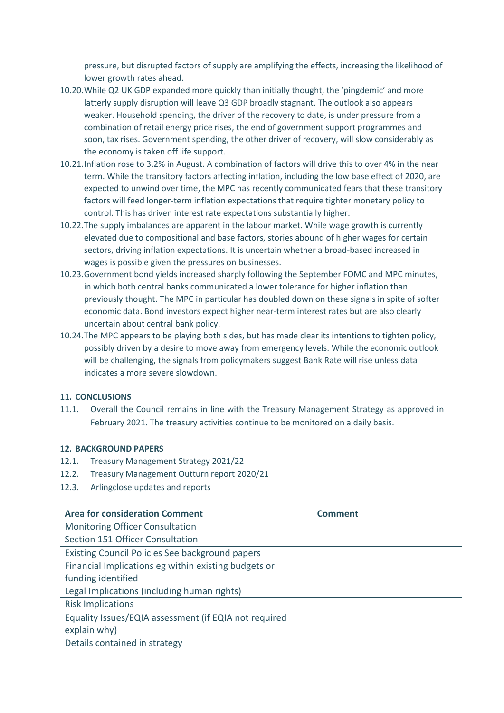pressure, but disrupted factors of supply are amplifying the effects, increasing the likelihood of lower growth rates ahead.

- 10.20.While Q2 UK GDP expanded more quickly than initially thought, the 'pingdemic' and more latterly supply disruption will leave Q3 GDP broadly stagnant. The outlook also appears weaker. Household spending, the driver of the recovery to date, is under pressure from a combination of retail energy price rises, the end of government support programmes and soon, tax rises. Government spending, the other driver of recovery, will slow considerably as the economy is taken off life support.
- 10.21.Inflation rose to 3.2% in August. A combination of factors will drive this to over 4% in the near term. While the transitory factors affecting inflation, including the low base effect of 2020, are expected to unwind over time, the MPC has recently communicated fears that these transitory factors will feed longer-term inflation expectations that require tighter monetary policy to control. This has driven interest rate expectations substantially higher.
- 10.22.The supply imbalances are apparent in the labour market. While wage growth is currently elevated due to compositional and base factors, stories abound of higher wages for certain sectors, driving inflation expectations. It is uncertain whether a broad-based increased in wages is possible given the pressures on businesses.
- 10.23.Government bond yields increased sharply following the September FOMC and MPC minutes, in which both central banks communicated a lower tolerance for higher inflation than previously thought. The MPC in particular has doubled down on these signals in spite of softer economic data. Bond investors expect higher near-term interest rates but are also clearly uncertain about central bank policy.
- 10.24.The MPC appears to be playing both sides, but has made clear its intentions to tighten policy, possibly driven by a desire to move away from emergency levels. While the economic outlook will be challenging, the signals from policymakers suggest Bank Rate will rise unless data indicates a more severe slowdown.

#### **11. CONCLUSIONS**

11.1. Overall the Council remains in line with the Treasury Management Strategy as approved in February 2021. The treasury activities continue to be monitored on a daily basis.

#### **12. BACKGROUND PAPERS**

- 12.1. Treasury Management Strategy 2021/22
- 12.2. Treasury Management Outturn report 2020/21
- 12.3. Arlingclose updates and reports

| <b>Area for consideration Comment</b>                  | Comment |
|--------------------------------------------------------|---------|
| <b>Monitoring Officer Consultation</b>                 |         |
| Section 151 Officer Consultation                       |         |
| <b>Existing Council Policies See background papers</b> |         |
| Financial Implications eg within existing budgets or   |         |
| funding identified                                     |         |
| Legal Implications (including human rights)            |         |
| <b>Risk Implications</b>                               |         |
| Equality Issues/EQIA assessment (if EQIA not required  |         |
| explain why)                                           |         |
| Details contained in strategy                          |         |